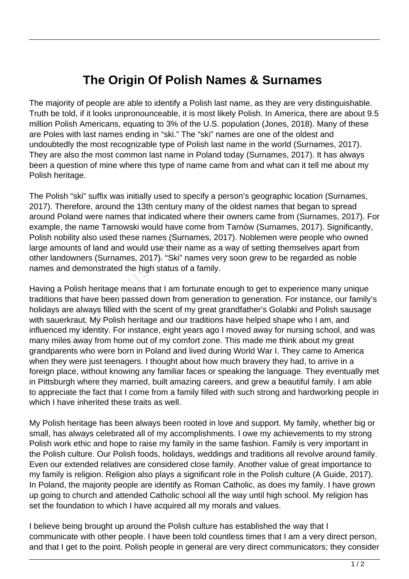## **The Origin Of Polish Names & Surnames**

The majority of people are able to identify a Polish last name, as they are very distinguishable. Truth be told, if it looks unpronounceable, it is most likely Polish. In America, there are about 9.5 million Polish Americans, equating to 3% of the U.S. population (Jones, 2018). Many of these are Poles with last names ending in "ski." The "ski" names are one of the oldest and undoubtedly the most recognizable type of Polish last name in the world (Surnames, 2017). They are also the most common last name in Poland today (Surnames, 2017). It has always been a question of mine where this type of name came from and what can it tell me about my Polish heritage.

The Polish "ski" suffix was initially used to specify a person's geographic location (Surnames, 2017). Therefore, around the 13th century many of the oldest names that began to spread around Poland were names that indicated where their owners came from (Surnames, 2017). For example, the name Tarnowski would have come from Tarnów (Surnames, 2017). Significantly, Polish nobility also used these names (Surnames, 2017). Noblemen were people who owned large amounts of land and would use their name as a way of setting themselves apart from other landowners (Surnames, 2017). "Ski" names very soon grew to be regarded as noble names and demonstrated the high status of a family.

Having a Polish heritage means that I am fortunate enough to get to experience many unique traditions that have been passed down from generation to generation. For instance, our family's holidays are always filled with the scent of my great grandfather's Golabki and Polish sausage with sauerkraut. My Polish heritage and our traditions have helped shape who I am, and influenced my identity. For instance, eight years ago I moved away for nursing school, and was many miles away from home out of my comfort zone. This made me think about my great grandparents who were born in Poland and lived during World War I. They came to America when they were just teenagers. I thought about how much bravery they had, to arrive in a foreign place, without knowing any familiar faces or speaking the language. They eventually met in Pittsburgh where they married, built amazing careers, and grew a beautiful family. I am able to appreciate the fact that I come from a family filled with such strong and hardworking people in which I have inherited these traits as well. The Vallet Library Court Trans Courn<br>
unts of land and would use their native in the Summers (Surnames, 2017). "Ski" nat<br>
demonstrated the high status of<br>
Polish heritage means that I am for<br>
Polish heritage means that I a

My Polish heritage has been always been rooted in love and support. My family, whether big or small, has always celebrated all of my accomplishments. I owe my achievements to my strong Polish work ethic and hope to raise my family in the same fashion. Family is very important in the Polish culture. Our Polish foods, holidays, weddings and traditions all revolve around family. Even our extended relatives are considered close family. Another value of great importance to my family is religion. Religion also plays a significant role in the Polish culture (A Guide, 2017). In Poland, the majority people are identify as Roman Catholic, as does my family. I have grown up going to church and attended Catholic school all the way until high school. My religion has set the foundation to which I have acquired all my morals and values.

I believe being brought up around the Polish culture has established the way that I communicate with other people. I have been told countless times that I am a very direct person, and that I get to the point. Polish people in general are very direct communicators; they consider